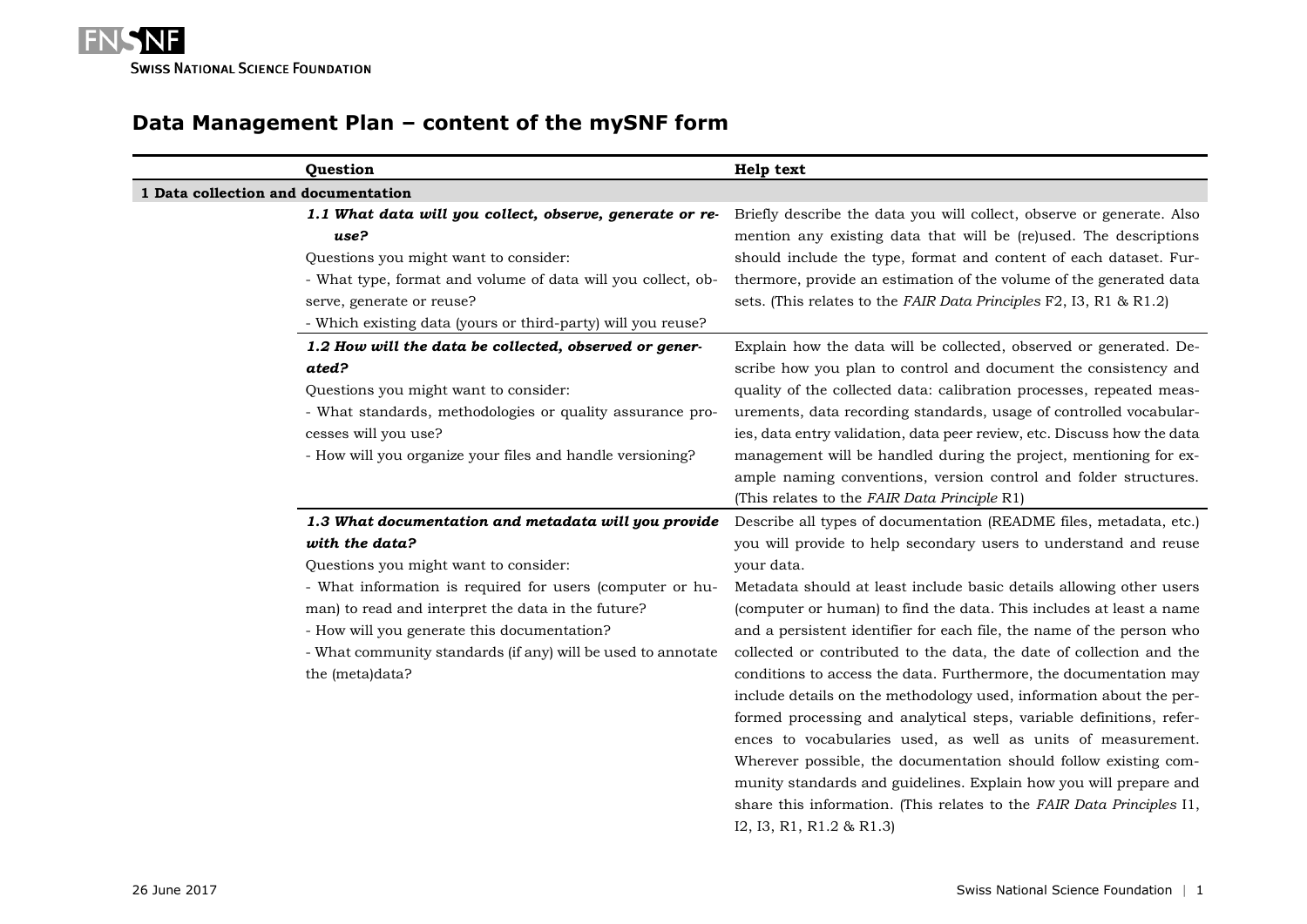

# **Data Management Plan – content of the mySNF form**

| Question                                                                                                                                                                                                                                                                                                                                                             | Help text                                                                                                                                                                                                                                                                                                                                                                                                                                                                                                                                                                                                                                                                                                                                                                                                                                                                                                                                                 |
|----------------------------------------------------------------------------------------------------------------------------------------------------------------------------------------------------------------------------------------------------------------------------------------------------------------------------------------------------------------------|-----------------------------------------------------------------------------------------------------------------------------------------------------------------------------------------------------------------------------------------------------------------------------------------------------------------------------------------------------------------------------------------------------------------------------------------------------------------------------------------------------------------------------------------------------------------------------------------------------------------------------------------------------------------------------------------------------------------------------------------------------------------------------------------------------------------------------------------------------------------------------------------------------------------------------------------------------------|
| 1 Data collection and documentation                                                                                                                                                                                                                                                                                                                                  |                                                                                                                                                                                                                                                                                                                                                                                                                                                                                                                                                                                                                                                                                                                                                                                                                                                                                                                                                           |
| 1.1 What data will you collect, observe, generate or re-<br>use?<br>Questions you might want to consider:<br>- What type, format and volume of data will you collect, ob-<br>serve, generate or reuse?<br>- Which existing data (yours or third-party) will you reuse?                                                                                               | Briefly describe the data you will collect, observe or generate. Also<br>mention any existing data that will be (re)used. The descriptions<br>should include the type, format and content of each dataset. Fur-<br>thermore, provide an estimation of the volume of the generated data<br>sets. (This relates to the FAIR Data Principles F2, I3, R1 & R1.2)                                                                                                                                                                                                                                                                                                                                                                                                                                                                                                                                                                                              |
| 1.2 How will the data be collected, observed or gener-<br>ated?<br>Questions you might want to consider:<br>- What standards, methodologies or quality assurance pro-<br>cesses will you use?<br>- How will you organize your files and handle versioning?                                                                                                           | Explain how the data will be collected, observed or generated. De-<br>scribe how you plan to control and document the consistency and<br>quality of the collected data: calibration processes, repeated meas-<br>urements, data recording standards, usage of controlled vocabular-<br>ies, data entry validation, data peer review, etc. Discuss how the data<br>management will be handled during the project, mentioning for ex-<br>ample naming conventions, version control and folder structures.<br>(This relates to the FAIR Data Principle R1)                                                                                                                                                                                                                                                                                                                                                                                                   |
| 1.3 What documentation and metadata will you provide<br>with the data?<br>Questions you might want to consider:<br>- What information is required for users (computer or hu-<br>man) to read and interpret the data in the future?<br>- How will you generate this documentation?<br>- What community standards (if any) will be used to annotate<br>the (meta)data? | Describe all types of documentation (README files, metadata, etc.)<br>you will provide to help secondary users to understand and reuse<br>your data.<br>Metadata should at least include basic details allowing other users<br>(computer or human) to find the data. This includes at least a name<br>and a persistent identifier for each file, the name of the person who<br>collected or contributed to the data, the date of collection and the<br>conditions to access the data. Furthermore, the documentation may<br>include details on the methodology used, information about the per-<br>formed processing and analytical steps, variable definitions, refer-<br>ences to vocabularies used, as well as units of measurement.<br>Wherever possible, the documentation should follow existing com-<br>munity standards and guidelines. Explain how you will prepare and<br>share this information. (This relates to the FAIR Data Principles I1, |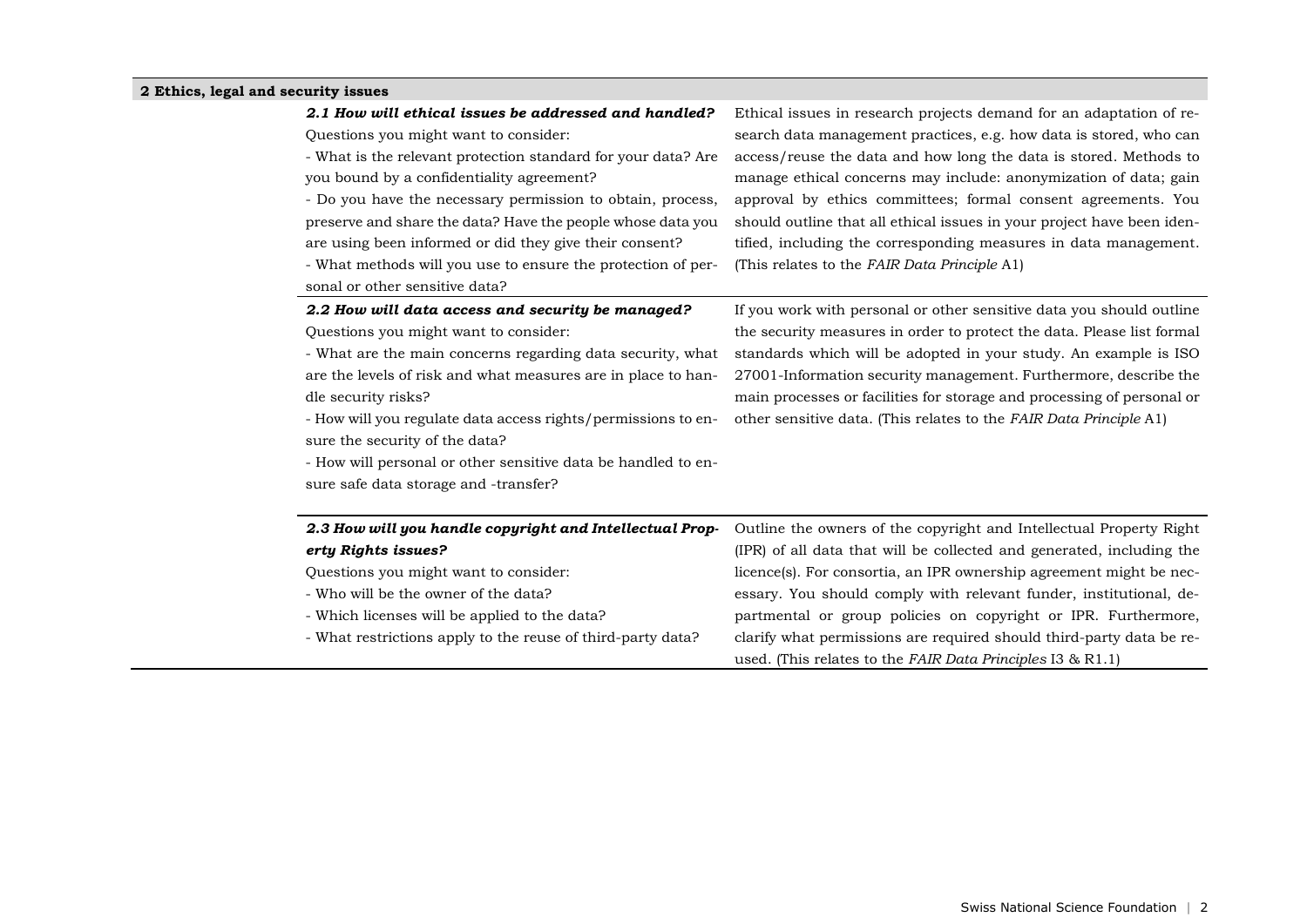#### **2 Ethics, legal and security issues**

Questions you might want to consider:

- What is the relevant protection standard for your data? Are you bound by a confidentiality agreement?

- Do you have the necessary permission to obtain, process, preserve and share the data? Have the people whose data you are using been informed or did they give their consent?

- What methods will you use to ensure the protection of personal or other sensitive data?

Ethical issues in research projects demand for an adaptation of research data management practices, e.g. how data is stored, who can access/reuse the data and how long the data is stored. Methods to manage ethical concerns may include: anonymization of data; gain approval by ethics committees; formal consent agreements. You should outline that all ethical issues in your project have been identified, including the corresponding measures in data management. (This relates to the *FAIR Data Principle* A1)

#### *2.2 How will data access and security be managed?*

Questions you might want to consider:

- What are the main concerns regarding data security, what are the levels of risk and what measures are in place to handle security risks?

- How will you regulate data access rights/permissions to ensure the security of the data?

- How will personal or other sensitive data be handled to en-

sure safe data storage and -transfer?

If you work with personal or other sensitive data you should outline the security measures in order to protect the data. Please list formal standards which will be adopted in your study. An example is ISO 27001-Information security management. Furthermore, describe the main processes or facilities for storage and processing of personal or other sensitive data. (This relates to the *FAIR Data Principle* A1)

| 2.3 How will you handle copyright and Intellectual Prop-    | Outline the owners of the copyright and Intellectual Property Right   |
|-------------------------------------------------------------|-----------------------------------------------------------------------|
| erty Rights issues?                                         | (IPR) of all data that will be collected and generated, including the |
| Questions you might want to consider:                       | licence(s). For consortia, an IPR ownership agreement might be nec-   |
| - Who will be the owner of the data?                        | essary. You should comply with relevant funder, institutional, de-    |
| - Which licenses will be applied to the data?               | partmental or group policies on copyright or IPR. Furthermore,        |
| - What restrictions apply to the reuse of third-party data? | clarify what permissions are required should third-party data be re-  |
|                                                             | used. (This relates to the FAIR Data Principles I3 $\&$ R1.1)         |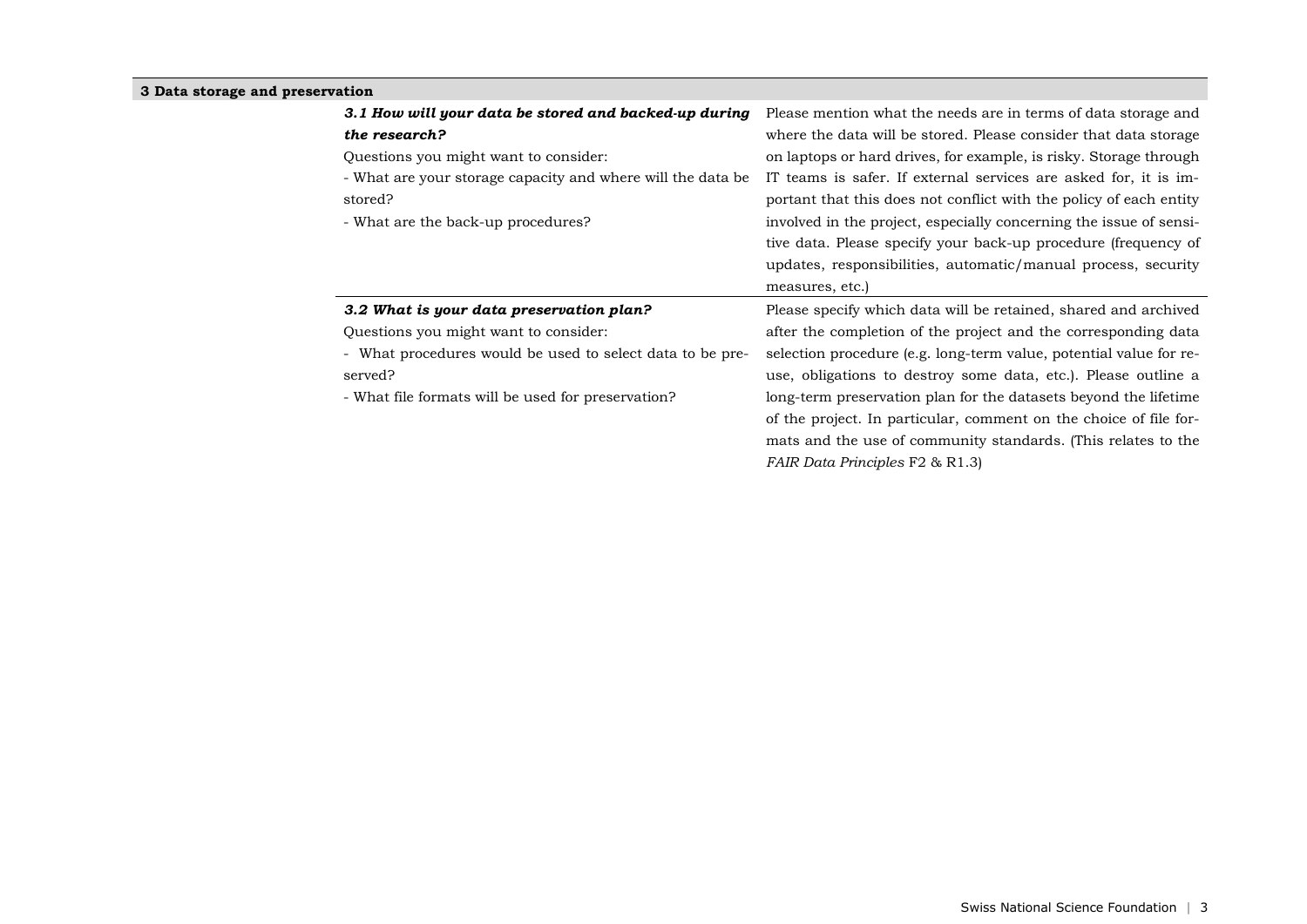### **3 Data storage and preservation**

| 3.1 How will your data be stored and backed-up during        | Please mention what the needs are in terms of data storage and     |
|--------------------------------------------------------------|--------------------------------------------------------------------|
| the research?                                                | where the data will be stored. Please consider that data storage   |
| Questions you might want to consider.                        | on laptops or hard drives, for example, is risky. Storage through  |
| - What are your storage capacity and where will the data be. | IT teams is safer. If external services are asked for, it is im-   |
| stored?                                                      | portant that this does not conflict with the policy of each entity |
| - What are the back-up procedures?                           | involved in the project, especially concerning the issue of sensi- |
|                                                              | tive data. Please specify your back-up procedure (frequency of     |
|                                                              | updates, responsibilities, automatic/manual process, security      |
|                                                              | measures, etc.)                                                    |
|                                                              |                                                                    |
| 3.2 What is your data preservation plan?                     | Please specify which data will be retained, shared and archived    |
| Questions you might want to consider:                        | after the completion of the project and the corresponding data     |
| - What procedures would be used to select data to be pre-    | selection procedure (e.g. long-term value, potential value for re- |
| served?                                                      | use, obligations to destroy some data, etc.). Please outline a     |
| - What file formats will be used for preservation?           | long-term preservation plan for the datasets beyond the lifetime   |
|                                                              | of the project. In particular, comment on the choice of file for-  |
|                                                              | mats and the use of community standards. (This relates to the      |